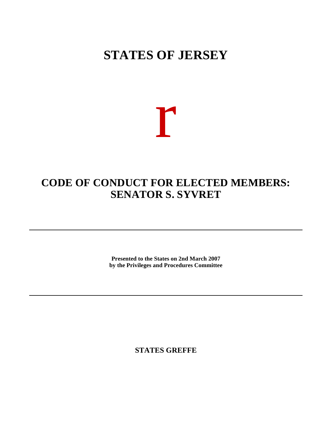# **STATES OF JERSEY**

# r

# **CODE OF CONDUCT FOR ELECTED MEMBERS: SENATOR S. SYVRET**

**Presented to the States on 2nd March 2007 by the Privileges and Procedures Committee**

**STATES GREFFE**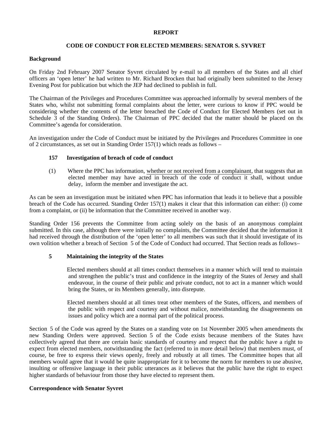#### **REPORT**

# **CODE OF CONDUCT FOR ELECTED MEMBERS: SENATOR S. SYVRET**

### **Background**

On Friday 2nd February 2007 Senator Syvret circulated by e-mail to all members of the States and all chief officers an 'open letter' he had written to Mr. Richard Brocken that had originally been submitted to the Jersey Evening Post for publication but which the JEP had declined to publish in full.

The Chairman of the Privileges and Procedures Committee was approached informally by several members of the States who, whilst not submitting formal complaints about the letter, were curious to know if PPC would be considering whether the contents of the letter breached the Code of Conduct for Elected Members (set out in Schedule 3 of the Standing Orders). The Chairman of PPC decided that the matter should be placed on the Committee's agenda for consideration.

An investigation under the Code of Conduct must be initiated by the Privileges and Procedures Committee in one of 2 circumstances, as set out in Standing Order 157(1) which reads as follows –

# **157 Investigation of breach of code of conduct**

(1) Where the PPC has information, whether or not received from a complainant, that suggests that an elected member may have acted in breach of the code of conduct it shall, without undue delay, inform the member and investigate the act.

As can be seen an investigation must be initiated when PPC has information that leads it to believe that a possible breach of the Code has occurred. Standing Order 157(1) makes it clear that this information can either: (i) come from a complaint, or (ii) be information that the Committee received in another way.

Standing Order 156 prevents the Committee from acting solely on the basis of an anonymous complaint submitted. In this case, although there were initially no complaints, the Committee decided that the information it had received through the distribution of the 'open letter' to all members was such that it should investigate of its own volition whether a breach of Section 5 of the Code of Conduct had occurred. That Section reads as follows –

# **5 Maintaining the integrity of the States**

 Elected members should at all times conduct themselves in a manner which will tend to maintain and strengthen the public's trust and confidence in the integrity of the States of Jersey and shall endeavour, in the course of their public and private conduct, not to act in a manner which would bring the States, or its Members generally, into disrepute.

 Elected members should at all times treat other members of the States, officers, and members of the public with respect and courtesy and without malice, notwithstanding the disagreements on issues and policy which are a normal part of the political process.

Section 5 of the Code was agreed by the States on a standing vote on 1st November 2005 when amendments the new Standing Orders were approved. Section 5 of the Code exists because members of the States have collectively agreed that there are certain basic standards of courtesy and respect that the public have a right to expect from elected members, notwithstanding the fact (referred to in more detail below) that members must, of course, be free to express their views openly, freely and robustly at all times. The Committee hopes that all members would agree that it would be quite inappropriate for it to become the norm for members to use abusive, insulting or offensive language in their public utterances as it believes that the public have the right to expect higher standards of behaviour from those they have elected to represent them.

# **Correspondence with Senator Syvret**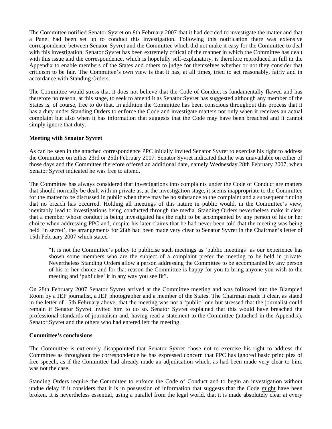The Committee notified Senator Syvret on 8th February 2007 that it had decided to investigate the matter and that a Panel had been set up to conduct this investigation. Following this notification there was extensive correspondence between Senator Syvret and the Committee which did not make it easy for the Committee to deal with this investigation. Senator Syvret has been extremely critical of the manner in which the Committee has dealt with this issue and the correspondence, which is hopefully self-explanatory, is therefore reproduced in full in the Appendix to enable members of the States and others to judge for themselves whether or not they consider that criticism to be fair. The Committee's own view is that it has, at all times, tried to act reasonably, fairly and in accordance with Standing Orders.

The Committee would stress that it does not believe that the Code of Conduct is fundamentally flawed and has therefore no reason, at this stage, to seek to amend it as Senator Syvret has suggested although any member of the States is, of course, free to do that. In addition the Committee has been conscious throughout this process that it has a duty under Standing Orders to enforce the Code and investigate matters not only when it receives an actual complaint but also when it has information that suggests that the Code may have been breached and it cannot simply ignore that duty.

# **Meeting with Senator Syvret**

As can be seen in the attached correspondence PPC initially invited Senator Syvret to exercise his right to address the Committee on either 23rd or 25th February 2007. Senator Syvret indicated that he was unavailable on either of those days and the Committee therefore offered an additional date, namely Wednesday 28th February 2007, when Senator Syvret indicated he was free to attend.

The Committee has always considered that investigations into complaints under the Code of Conduct are matters that should normally be dealt with in private as, at the investigation stage, it seems inappropriate to the Committee for the matter to be discussed in public when there may be no substance to the complaint and a subsequent finding that no breach has occurred. Holding all meetings of this nature in public would, in the Committee's view, inevitably lead to investigations being conducted through the media. Standing Orders nevertheless make it clear that a member whose conduct is being investigated has the right to be accompanied by any person of his or her choice when addressing PPC and, despite his later claims that he had never been told that the meeting was being held 'in secret', the arrangements for 28th had been made very clear to Senator Syvret in the Chairman's letter of 15th February 2007 which stated –

"It is not the Committee's policy to publicise such meetings as 'public meetings' as our experience has shown some members who are the subject of a complaint prefer the meeting to be held in private. Nevertheless Standing Orders allow a person addressing the Committee to be accompanied by any person of his or her choice and for that reason the Committee is happy for you to bring anyone you wish to the meeting and 'publicise' it in any way you see fit".

On 28th February 2007 Senator Syvret arrived at the Committee meeting and was followed into the Blampied Room by a JEP journalist, a JEP photographer and a member of the States. The Chairman made it clear, as stated in the letter of 15th February above, that the meeting was not a 'public' one but stressed that the journalist could remain if Senator Syvret invited him to do so. Senator Syvret explained that this would have breached the professional standards of journalism and, having read a statement to the Committee (attached in the Appendix), Senator Syvret and the others who had entered left the meeting.

#### **Committee's conclusions**

The Committee is extremely disappointed that Senator Syvret chose not to exercise his right to address the Committee as throughout the correspondence he has expressed concern that PPC has ignored basic principles of free speech, as if the Committee had already made an adjudication which, as had been made very clear to him, was not the case.

Standing Orders require the Committee to enforce the Code of Conduct and to begin an investigation without undue delay if it considers that it is in possession of information that suggests that the Code might have been broken. It is nevertheless essential, using a parallel from the legal world, that it is made absolutely clear at every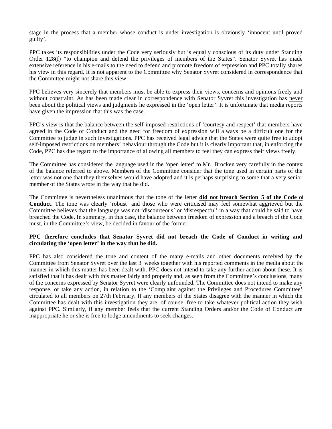stage in the process that a member whose conduct is under investigation is obviously 'innocent until proved guilty'.

PPC takes its responsibilities under the Code very seriously but is equally conscious of its duty under Standing Order 128(f) "to champion and defend the privileges of members of the States". Senator Syvret has made extensive reference in his e-mails to the need to defend and promote freedom of expression and PPC totally shares his view in this regard. It is not apparent to the Committee why Senator Syvret considered in correspondence that the Committee might not share this view.

PPC believes very sincerely that members must be able to express their views, concerns and opinions freely and without constraint. As has been made clear in correspondence with Senator Syvret this investigation has never been about the political views and judgments he expressed in the 'open letter'. It is unfortunate that media reports have given the impression that this was the case.

PPC's view is that the balance between the self-imposed restrictions of 'courtesy and respect' that members have agreed in the Code of Conduct and the need for freedom of expression will always be a difficult one for the Committee to judge in such investigations. PPC has received legal advice that the States were quite free to adopt self-imposed restrictions on members' behaviour through the Code but it is clearly important that, in enforcing the Code, PPC has due regard to the importance of allowing all members to feel they can express their views freely.

The Committee has considered the language used in the 'open letter' to Mr. Brocken very carefully in the context of the balance referred to above. Members of the Committee consider that the tone used in certain parts of the letter was not one that they themselves would have adopted and it is perhaps surprising to some that a very senior member of the States wrote in the way that he did.

The Committee is nevertheless unanimous that the tone of the letter **did not breach Section 5 of the Code of Conduct**. The tone was clearly 'robust' and those who were criticised may feel somewhat aggrieved but the Committee believes that the language was not 'discourteous' or 'disrespectful' in a way that could be said to have breached the Code. In summary, in this case, the balance between freedom of expression and a breach of the Code must, in the Committee's view, be decided in favour of the former.

# **PPC therefore concludes that Senator Syvret did not breach the Code of Conduct in writing and circulating the 'open letter' in the way that he did.**

PPC has also considered the tone and content of the many e-mails and other documents received by the Committee from Senator Syvret over the last 3 weeks together with his reported comments in the media about the manner in which this matter has been dealt with. PPC does not intend to take any further action about these. It is satisfied that it has dealt with this matter fairly and properly and, as seen from the Committee's conclusions, many of the concerns expressed by Senator Syvret were clearly unfounded. The Committee does not intend to make any response, or take any action, in relation to the 'Complaint against the Privileges and Procedures Committee' circulated to all members on 27th February. If any members of the States disagree with the manner in which the Committee has dealt with this investigation they are, of course, free to take whatever political action they wish against PPC. Similarly, if any member feels that the current Standing Orders and/or the Code of Conduct are inappropriate he or she is free to lodge amendments to seek changes.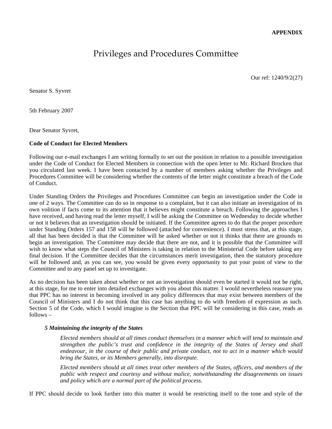# Privileges and Procedures Committee

Our ref: 1240/9/2(27)

Senator S. Syvret

5th February 2007

Dear Senator Syvret,

### **Code of Conduct for Elected Members**

Following our e-mail exchanges I am writing formally to set out the position in relation to a possible investigation under the Code of Conduct for Elected Members in connection with the open letter to Mr. Richard Brocken that you circulated last week. I have been contacted by a number of members asking whether the Privileges and Procedures Committee will be considering whether the contents of the letter might constitute a breach of the Code of Conduct.

Under Standing Orders the Privileges and Procedures Committee can begin an investigation under the Code in one of 2 ways. The Committee can do so in response to a complaint, but it can also initiate an investigation of its own volition if facts come to its attention that it believes might constitute a breach. Following the approaches I have received, and having read the letter myself, I will be asking the Committee on Wednesday to decide whether or not it believes that an investigation should be initiated. If the Committee agrees to do that the proper procedure under Standing Orders 157 and 158 will be followed (attached for convenience). I must stress that, at this stage, all that has been decided is that the Committee will be asked whether or not it thinks that there are grounds to begin an investigation. The Committee may decide that there are not, and it is possible that the Committee will wish to know what steps the Council of Ministers is taking in relation to the Ministerial Code before taking any final decision. If the Committee decides that the circumstances merit investigation, then the statutory procedure will be followed and, as you can see, you would be given every opportunity to put your point of view to the Committee and to any panel set up to investigate.

As no decision has been taken about whether or not an investigation should even be started it would not be right, at this stage, for me to enter into detailed exchanges with you about this matter. I would nevertheless reassure you that PPC has no interest in becoming involved in any policy differences that may exist between members of the Council of Ministers and I do not think that this case has anything to do with freedom of expression as such. Section 5 of the Code, which I would imagine is the Section that PPC will be considering in this case, reads as follows –

#### *5 Maintaining the integrity of the States*

*Elected members should at all times conduct themselves in a manner which will tend to maintain and strengthen the public's trust and confidence in the integrity of the States of Jersey and shall endeavour, in the course of their public and private conduct, not to act in a manner which would bring the States, or its Members generally, into disrepute.*

*Elected members should at all times treat other members of the States, officers, and members of the public with respect and courtesy and without malice, notwithstanding the disagreements on issues and policy which are a normal part of the political process.*

If PPC should decide to look further into this matter it would be restricting itself to the tone and style of the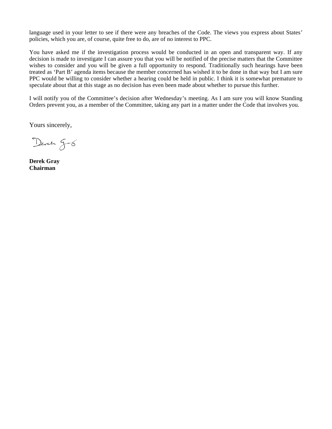language used in your letter to see if there were any breaches of the Code. The views you express about States' policies, which you are, of course, quite free to do, are of no interest to PPC.

You have asked me if the investigation process would be conducted in an open and transparent way. If any decision is made to investigate I can assure you that you will be notified of the precise matters that the Committee wishes to consider and you will be given a full opportunity to respond. Traditionally such hearings have been treated as 'Part B' agenda items because the member concerned has wished it to be done in that way but I am sure PPC would be willing to consider whether a hearing could be held in public. I think it is somewhat premature to speculate about that at this stage as no decision has even been made about whether to pursue this further.

I will notify you of the Committee's decision after Wednesday's meeting. As I am sure you will know Standing Orders prevent you, as a member of the Committee, taking any part in a matter under the Code that involves you.

Yours sincerely,

Deren g-6

**Derek Gray Chairman**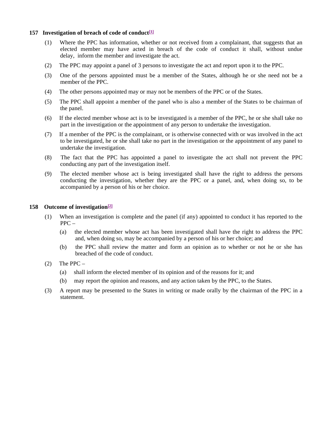#### **157 Investigation of breach of code of conduct[1]**

- (1) Where the PPC has information, whether or not received from a complainant, that suggests that an elected member may have acted in breach of the code of conduct it shall, without undue delay, inform the member and investigate the act.
- (2) The PPC may appoint a panel of 3 persons to investigate the act and report upon it to the PPC.
- (3) One of the persons appointed must be a member of the States, although he or she need not be a member of the PPC.
- (4) The other persons appointed may or may not be members of the PPC or of the States.
- (5) The PPC shall appoint a member of the panel who is also a member of the States to be chairman of the panel.
- (6) If the elected member whose act is to be investigated is a member of the PPC, he or she shall take no part in the investigation or the appointment of any person to undertake the investigation.
- (7) If a member of the PPC is the complainant, or is otherwise connected with or was involved in the act to be investigated, he or she shall take no part in the investigation or the appointment of any panel to undertake the investigation.
- (8) The fact that the PPC has appointed a panel to investigate the act shall not prevent the PPC conducting any part of the investigation itself.
- (9) The elected member whose act is being investigated shall have the right to address the persons conducting the investigation, whether they are the PPC or a panel, and, when doing so, to be accompanied by a person of his or her choice.

#### **158 Outcome of investigation[2]**

- (1) When an investigation is complete and the panel (if any) appointed to conduct it has reported to the PPC –
	- (a) the elected member whose act has been investigated shall have the right to address the PPC and, when doing so, may be accompanied by a person of his or her choice; and
	- (b) the PPC shall review the matter and form an opinion as to whether or not he or she has breached of the code of conduct.
- $(2)$  The PPC
	- (a) shall inform the elected member of its opinion and of the reasons for it; and
	- (b) may report the opinion and reasons, and any action taken by the PPC, to the States.
- (3) A report may be presented to the States in writing or made orally by the chairman of the PPC in a statement.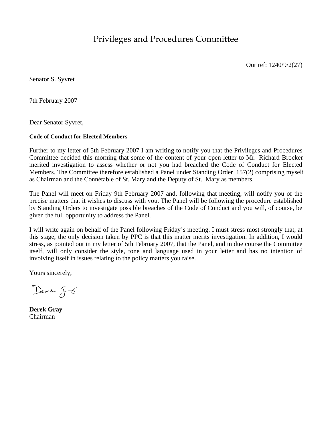Privileges and Procedures Committee

Our ref: 1240/9/2(27)

Senator S. Syvret

7th February 2007

Dear Senator Syvret,

#### **Code of Conduct for Elected Members**

Further to my letter of 5th February 2007 I am writing to notify you that the Privileges and Procedures Committee decided this morning that some of the content of your open letter to Mr. Richard Brocken merited investigation to assess whether or not you had breached the Code of Conduct for Elected Members. The Committee therefore established a Panel under Standing Order 157(2) comprising myself as Chairman and the Connétable of St. Mary and the Deputy of St. Mary as members.

The Panel will meet on Friday 9th February 2007 and, following that meeting, will notify you of the precise matters that it wishes to discuss with you. The Panel will be following the procedure established by Standing Orders to investigate possible breaches of the Code of Conduct and you will, of course, be given the full opportunity to address the Panel.

I will write again on behalf of the Panel following Friday's meeting. I must stress most strongly that, at this stage, the only decision taken by PPC is that this matter merits investigation. In addition, I would stress, as pointed out in my letter of 5th February 2007, that the Panel, and in due course the Committee itself, will only consider the style, tone and language used in your letter and has no intention of involving itself in issues relating to the policy matters you raise.

Yours sincerely,

Deven g-6

**Derek Gray** Chairman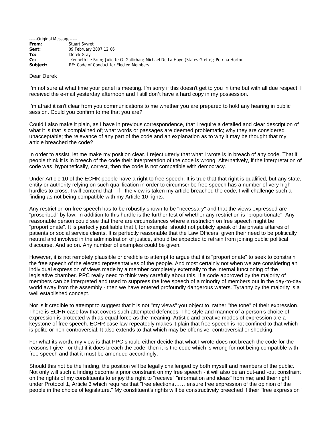| -----Original Message----- |                                                                                            |
|----------------------------|--------------------------------------------------------------------------------------------|
| From:                      | <b>Stuart Syvret</b>                                                                       |
| Sent:                      | 09 February 2007 12:06                                                                     |
| To:                        | Derek Gray                                                                                 |
| $Cc$ :                     | Kenneth Le Brun; Juliette G. Gallichan; Michael De La Haye (States Greffe); Petrina Horton |
| Subject:                   | RE: Code of Conduct for Elected Members                                                    |

#### Dear Derek

I'm not sure at what time your panel is meeting. I'm sorry if this doesn't get to you in time but with all due respect, I received the e-mail yesterday afternoon and I still don't have a hard copy in my possession.

I'm afraid it isn't clear from you communications to me whether you are prepared to hold any hearing in public session. Could you confirm to me that you are?

Could I also make it plain, as I have in previous correspondence, that I require a detailed and clear description of what it is that is complained of; what words or passages are deemed problematic; why they are considered unacceptable; the relevance of any part of the code and an explanation as to why it may be thought that my article breached the code?

In order to assist, let me make my position clear. I reject utterly that what I wrote is in breach of any code. That if people think it is in breech of the code their interpretation of the code is wrong. Alternatively, if the interpretation of code was, hypothetically, correct, then the code is not compatible with democracy.

Under Article 10 of the ECHR people have a right to free speech. It is true that that right is qualified, but any state, entity or authority relying on such qualification in order to circumscribe free speech has a number of very high hurdles to cross. I will contend that - if - the view is taken my article breached the code, I will challenge such a finding as not being compatible with my Article 10 rights.

Any restriction on free speech has to be robustly shown to be "necessary" and that the views expressed are "proscribed" by law. In addition to this hurdle is the further test of whether any restriction is "proportionate". Any reasonable person could see that there are circumstances where a restriction on free speech might be "proportionate". It is perfectly justifiable that I, for example, should not publicly speak of the private affaires of patients or social service clients. It is perfectly reasonable that the Law Officers, given their need to be politically neutral and involved in the administration of justice, should be expected to refrain from joining public political discourse. And so on. Any number of examples could be given.

However, it is not remotely plausible or credible to attempt to argue that it is "proportionate" to seek to constrain the free speech of the elected representatives of the people. And most certainly not when we are considering an individual expression of views made by a member completely externally to the internal functioning of the legislative chamber. PPC really need to think very carefully about this. If a code approved by the majority of members can be interpreted and used to suppress the free speech of a minority of members out in the day-to-day world away from the assembly - then we have entered profoundly dangerous waters. Tyranny by the majority is a well established concept.

Nor is it credible to attempt to suggest that it is not "my views" you object to, rather "the tone" of their expression. There is ECHR case law that covers such attempted defences. The style and manner of a person's choice of expression is protected with as equal force as the meaning. Artistic and creative modes of expression are a keystone of free speech. ECHR case law repeatedly makes it plain that free speech is not confined to that which is polite or non-controversial. It also extends to that which may be offensive, controversial or shocking.

For what its worth, my view is that PPC should either decide that what I wrote does not breach the code for the reasons I give - or that if it does breach the code, then it is the code which is wrong for not being compatible with free speech and that it must be amended accordingly.

Should this not be the finding, the position will be legally challenged by both myself and members of the public. Not only will such a finding become a prior constraint on my free speech - it will also be an out-and -out constraint on the rights of my constituents to enjoy the right to "receive" "information and ideas" from me; and their right under Protocol 1, Article 3 which requires that "free elections…….ensure free expression of the opinion of the people in the choice of legislature." My constituent's rights will be constructively breeched if their "free expression"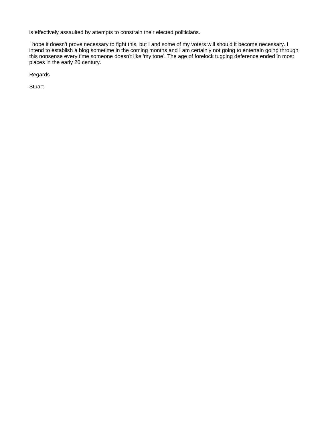is effectively assaulted by attempts to constrain their elected politicians.

I hope it doesn't prove necessary to fight this, but I and some of my voters will should it become necessary. I intend to establish a blog sometime in the coming months and I am certainly not going to entertain going through this nonsense every time someone doesn't like 'my tone'. The age of forelock tugging deference ended in most places in the early 20 century.

Regards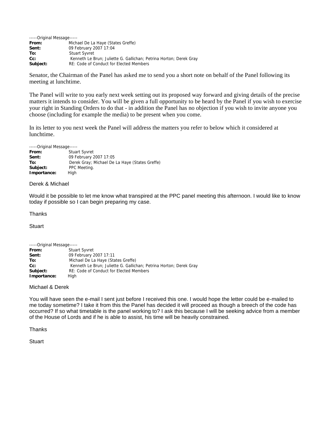| -----Original Message----- |                                                                    |
|----------------------------|--------------------------------------------------------------------|
| From:                      | Michael De La Haye (States Greffe)                                 |
| Sent:                      | 09 February 2007 17:04                                             |
| To:                        | <b>Stuart Syvret</b>                                               |
| $Cc$ :                     | Kenneth Le Brun; Juliette G. Gallichan; Petrina Horton; Derek Gray |
| Subject:                   | RE: Code of Conduct for Elected Members                            |

Senator, the Chairman of the Panel has asked me to send you a short note on behalf of the Panel following its meeting at lunchtime.

The Panel will write to you early next week setting out its proposed way forward and giving details of the precise matters it intends to consider. You will be given a full opportunity to be heard by the Panel if you wish to exercise your right in Standing Orders to do that - in addition the Panel has no objection if you wish to invite anyone you choose (including for example the media) to be present when you come.

In its letter to you next week the Panel will address the matters you refer to below which it considered at lunchtime.

-----Original Message-----

| From:       | <b>Stuart Syvret</b>                           |
|-------------|------------------------------------------------|
| Sent:       | 09 February 2007 17:05                         |
| To:         | Derek Gray; Michael De La Haye (States Greffe) |
| Subject:    | PPC Meeting.                                   |
| Importance: | High                                           |
|             |                                                |

#### Derek & Michael

Would it be possible to let me know what transpired at the PPC panel meeting this afternoon. I would like to know today if possible so I can begin preparing my case.

#### **Thanks**

**Stuart** 

| -----Original Message----- |                                                                    |
|----------------------------|--------------------------------------------------------------------|
| From:                      | <b>Stuart Syvret</b>                                               |
| Sent:                      | 09 February 2007 17:11                                             |
| To:                        | Michael De La Haye (States Greffe)                                 |
| $Cc$ :                     | Kenneth Le Brun; Juliette G. Gallichan; Petrina Horton; Derek Gray |
| Subject:                   | RE: Code of Conduct for Elected Members                            |
| Importance:                | High                                                               |

#### Michael & Derek

You will have seen the e-mail I sent just before I received this one. I would hope the letter could be e-mailed to me today sometime? I take it from this the Panel has decided it will proceed as though a breech of the code has occurred? If so what timetable is the panel working to? I ask this because I will be seeking advice from a member of the House of Lords and if he is able to assist, his time will be heavily constrained.

**Thanks**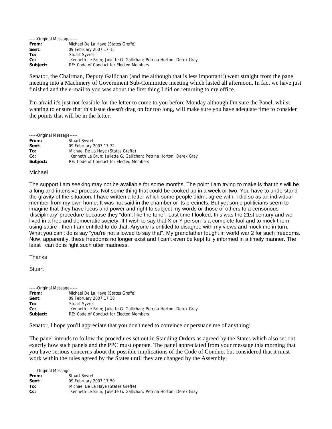| -----Original Message----- |                                                                    |
|----------------------------|--------------------------------------------------------------------|
| From:                      | Michael De La Haye (States Greffe)                                 |
| Sent:                      | 09 February 2007 17:15                                             |
| To:                        | <b>Stuart Syvret</b>                                               |
| $Cc$ :                     | Kenneth Le Brun; Juliette G. Gallichan; Petrina Horton; Derek Gray |
| Subject:                   | RE: Code of Conduct for Elected Members                            |

Senator, the Chairman, Deputy Gallichan (and me although that is less important!) went straight from the panel meeting into a Machinery of Government Sub-Committee meeting which lasted all afternoon. In fact we have just finished and the e-mail to you was about the first thing I did on returning to my office.

I'm afraid it's just not feasible for the letter to come to you before Monday although I'm sure the Panel, whilst wanting to ensure that this issue doesn't drag on for too long, will make sure you have adequate time to consider the points that will be in the letter.

-----Original Message-----

| From:    | Stuart Syvret                                                      |
|----------|--------------------------------------------------------------------|
| Sent:    | 09 February 2007 17:32                                             |
| To:      | Michael De La Haye (States Greffe)                                 |
| $Cc$ :   | Kenneth Le Brun; Juliette G. Gallichan; Petrina Horton; Derek Gray |
| Subject: | RE: Code of Conduct for Elected Members                            |
|          |                                                                    |

#### Michael

The support I am seeking may not be available for some months. The point I am trying to make is that this will be a long and intensive process. Not some thing that could be cooked up in a week or two. You have to understand the gravity of the situation. I have written a letter which some people didn't agree with. I did so as an individual member from my own home. It was not said in the chamber or its precincts. But yet some politicians seem to imagine that they have locus and power and right to subject my words or those of others to a censorious 'disciplinary' procedure because they "don't like the tone". Last time I looked, this was the 21st century and we lived in a free and democratic society. If I wish to say that X or Y person is a complete fool and to mock them using satire - then I am entitled to do that. Anyone is entitled to disagree with my views and mock me in turn. What you can't do is say "you're not allowed to say that". My grandfather fought in world war 2 for such freedoms. Now, apparently, these freedoms no longer exist and I can't even be kept fully informed in a timely manner. The least I can do is fight such utter madness.

**Thanks** 

**Stuart** 

| -----Original Message----- |                                                                    |
|----------------------------|--------------------------------------------------------------------|
| From:                      | Michael De La Haye (States Greffe)                                 |
| Sent:                      | 09 February 2007 17:38                                             |
| To:                        | <b>Stuart Syvret</b>                                               |
| $Cc$ :                     | Kenneth Le Brun; Juliette G. Gallichan; Petrina Horton; Derek Gray |
| Subject:                   | RE: Code of Conduct for Elected Members                            |

Senator, I hope you'll appreciate that you don't need to convince or persuade me of anything!

The panel intends to follow the procedures set out in Standing Orders as agreed by the States which also set out exactly how such panels and the PPC must operate. The panel appreciated from your message this morning that you have serious concerns about the possible implications of the Code of Conduct but considered that it must work within the rules agreed by the States until they are changed by the Assembly.

| -----Original Message----- |                                                                    |
|----------------------------|--------------------------------------------------------------------|
| From:                      | Stuart Syvret                                                      |
| Sent:                      | 09 February 2007 17:50                                             |
| To:                        | Michael De La Haye (States Greffe)                                 |
| $Cc$ :                     | Kenneth Le Brun; Juliette G. Gallichan; Petrina Horton; Derek Gray |
|                            |                                                                    |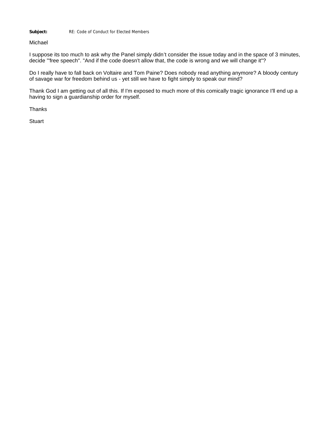Subject: RE: Code of Conduct for Elected Members

Michael

I suppose its too much to ask why the Panel simply didn't consider the issue today and in the space of 3 minutes, decide '"free speech". "And if the code doesn't allow that, the code is wrong and we will change it"?

Do I really have to fall back on Voltaire and Tom Paine? Does nobody read anything anymore? A bloody century of savage war for freedom behind us - yet still we have to fight simply to speak our mind?

Thank God I am getting out of all this. If I'm exposed to much more of this comically tragic ignorance I'll end up a having to sign a guardianship order for myself.

**Thanks**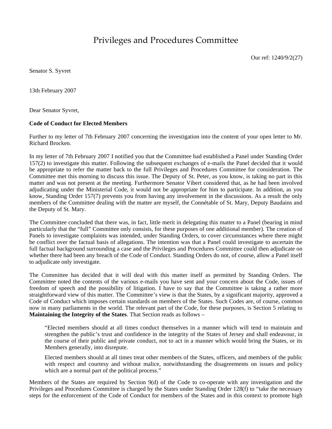# Privileges and Procedures Committee

Our ref: 1240/9/2(27)

Senator S. Syvret

13th February 2007

Dear Senator Syvret,

#### **Code of Conduct for Elected Members**

Further to my letter of 7th February 2007 concerning the investigation into the content of your open letter to Mr. Richard Brocken.

In my letter of 7th February 2007 I notified you that the Committee had established a Panel under Standing Order 157(2) to investigate this matter. Following the subsequent exchanges of e-mails the Panel decided that it would be appropriate to refer the matter back to the full Privileges and Procedures Committee for consideration. The Committee met this morning to discuss this issue. The Deputy of St. Peter, as you know, is taking no part in this matter and was not present at the meeting. Furthermore Senator Vibert considered that, as he had been involved adjudicating under the Ministerial Code, it would not be appropriate for him to participate. In addition, as you know, Standing Order 157(7) prevents you from having any involvement in the discussions. As a result the only members of the Committee dealing with the matter are myself, the Connétable of St. Mary, Deputy Baudains and the Deputy of St. Mary.

The Committee concluded that there was, in fact, little merit in delegating this matter to a Panel (bearing in mind particularly that the "full" Committee only consists, for these purposes of one additional member). The creation of Panels to investigate complaints was intended, under Standing Orders, to cover circumstances where there might be conflict over the factual basis of allegations. The intention was that a Panel could investigate to ascertain the full factual background surrounding a case and the Privileges and Procedures Committee could then adjudicate on whether there had been any breach of the Code of Conduct. Standing Orders do not, of course, allow a Panel itself to adjudicate only investigate.

The Committee has decided that it will deal with this matter itself as permitted by Standing Orders. The Committee noted the contents of the various e-mails you have sent and your concern about the Code, issues of freedom of speech and the possibility of litigation. I have to say that the Committee is taking a rather more straightforward view of this matter. The Committee's view is that the States, by a significant majority, approved a Code of Conduct which imposes certain standards on members of the States. Such Codes are, of course, common now in many parliaments in the world. The relevant part of the Code, for these purposes, is Section 5 relating to **Maintaining the Integrity of the States**. That Section reads as follows –

"Elected members should at all times conduct themselves in a manner which will tend to maintain and strengthen the public's trust and confidence in the integrity of the States of Jersey and shall endeavour, in the course of their public and private conduct, not to act in a manner which would bring the States, or its Members generally, into disrepute.

Elected members should at all times treat other members of the States, officers, and members of the public with respect and courtesy and without malice, notwithstanding the disagreements on issues and policy which are a normal part of the political process."

Members of the States are required by Section 9(d) of the Code to co-operate with any investigation and the Privileges and Procedures Committee is charged by the States under Standing Order 128(f) to "take the necessary steps for the enforcement of the Code of Conduct for members of the States and in this context to promote high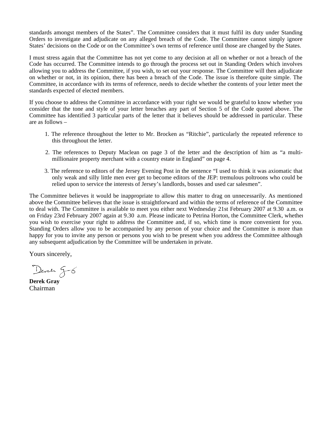standards amongst members of the States". The Committee considers that it must fulfil its duty under Standing Orders to investigate and adjudicate on any alleged breach of the Code. The Committee cannot simply ignore States' decisions on the Code or on the Committee's own terms of reference until those are changed by the States.

I must stress again that the Committee has not yet come to any decision at all on whether or not a breach of the Code has occurred. The Committee intends to go through the process set out in Standing Orders which involves allowing you to address the Committee, if you wish, to set out your response. The Committee will then adjudicate on whether or not, in its opinion, there has been a breach of the Code. The issue is therefore quite simple. The Committee, in accordance with its terms of reference, needs to decide whether the contents of your letter meet the standards expected of elected members.

If you choose to address the Committee in accordance with your right we would be grateful to know whether you consider that the tone and style of your letter breaches any part of Section 5 of the Code quoted above. The Committee has identified 3 particular parts of the letter that it believes should be addressed in particular. These are as follows –

- 1. The reference throughout the letter to Mr. Brocken as "Ritchie", particularly the repeated reference to this throughout the letter.
- 2. The references to Deputy Maclean on page 3 of the letter and the description of him as "a multimillionaire property merchant with a country estate in England" on page 4.
- 3. The reference to editors of the Jersey Evening Post in the sentence "I used to think it was axiomatic that only weak and silly little men ever get to become editors of the JEP: tremulous poltroons who could be relied upon to service the interests of Jersey's landlords, bosses and used car salesmen".

The Committee believes it would be inappropriate to allow this matter to drag on unnecessarily. As mentioned above the Committee believes that the issue is straightforward and within the terms of reference of the Committee to deal with. The Committee is available to meet you either next Wednesday 21st February 2007 at 9.30 a.m. or on Friday 23rd February 2007 again at 9.30 a.m. Please indicate to Petrina Horton, the Committee Clerk, whether you wish to exercise your right to address the Committee and, if so, which time is more convenient for you. Standing Orders allow you to be accompanied by any person of your choice and the Committee is more than happy for you to invite any person or persons you wish to be present when you address the Committee although any subsequent adjudication by the Committee will be undertaken in private.

Yours sincerely,

Deren g-6

**Derek Gray** Chairman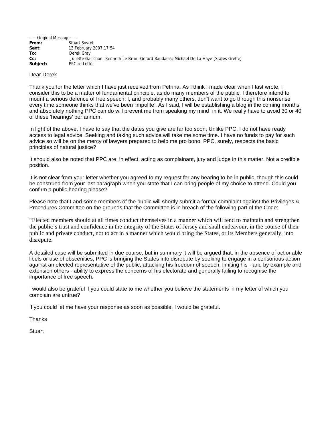| -----Original Message----- |                                                                                          |
|----------------------------|------------------------------------------------------------------------------------------|
| From:                      | <b>Stuart Syvret</b>                                                                     |
| Sent:                      | 13 February 2007 17:54                                                                   |
| To:                        | Derek Gray                                                                               |
| $Cc$ :                     | Juliette Gallichan; Kenneth Le Brun; Gerard Baudains; Michael De La Haye (States Greffe) |
| Subject:                   | PPC re Letter                                                                            |

#### Dear Derek

Thank you for the letter which I have just received from Petrina. As I think I made clear when I last wrote, I consider this to be a matter of fundamental principle, as do many members of the public. I therefore intend to mount a serious defence of free speech. I, and probably many others, don't want to go through this nonsense every time someone thinks that we've been 'impolite'. As I said, I will be establishing a blog in the coming months and absolutely nothing PPC can do will prevent me from speaking my mind in it. We really have to avoid 30 or 40 of these 'hearings' per annum.

In light of the above, I have to say that the dates you give are far too soon. Unlike PPC, I do not have ready access to legal advice. Seeking and taking such advice will take me some time. I have no funds to pay for such advice so will be on the mercy of lawyers prepared to help me pro bono. PPC, surely, respects the basic principles of natural justice?

It should also be noted that PPC are, in effect, acting as complainant, jury and judge in this matter. Not a credible position.

It is not clear from your letter whether you agreed to my request for any hearing to be in public, though this could be construed from your last paragraph when you state that I can bring people of my choice to attend. Could you confirm a public hearing please?

Please note that I and some members of the public will shortly submit a formal complaint against the Privileges & Procedures Committee on the grounds that the Committee is in breach of the following part of the Code:

"Elected members should at all times conduct themselves in a manner which will tend to maintain and strengthen the public's trust and confidence in the integrity of the States of Jersey and shall endeavour, in the course of their public and private conduct, not to act in a manner which would bring the States, or its Members generally, into disrepute.

A detailed case will be submitted in due course, but in summary it will be argued that, in the absence of actionable libels or use of obscenities, PPC is bringing the States into disrepute by seeking to engage in a censorious action against an elected representative of the public, attacking his freedom of speech, limiting his - and by example and extension others - ability to express the concerns of his electorate and generally failing to recognise the importance of free speech.

I would also be grateful if you could state to me whether you believe the statements in my letter of which you complain are untrue?

If you could let me have your response as soon as possible, I would be grateful.

**Thanks**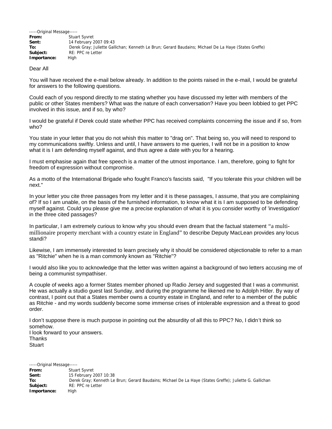| -----Original Message----- |                                                                                                      |
|----------------------------|------------------------------------------------------------------------------------------------------|
| From:                      | Stuart Syvret                                                                                        |
| Sent:                      | 14 February 2007 09:43                                                                               |
| To:                        | Derek Gray; Juliette Gallichan; Kenneth Le Brun; Gerard Baudains; Michael De La Haye (States Greffe) |
| Subject:                   | RE: PPC re Letter                                                                                    |
| Importance:                | Hiah                                                                                                 |

#### Dear All

You will have received the e-mail below already. In addition to the points raised in the e-mail, I would be grateful for answers to the following questions.

Could each of you respond directly to me stating whether you have discussed my letter with members of the public or other States members? What was the nature of each conversation? Have you been lobbied to get PPC involved in this issue, and if so, by who?

I would be grateful if Derek could state whether PPC has received complaints concerning the issue and if so, from who?

You state in your letter that you do not whish this matter to "drag on". That being so, you will need to respond to my communications swiftly. Unless and until, I have answers to me queries, I will not be in a position to know what it is I am defending myself against, and thus agree a date with you for a hearing.

I must emphasise again that free speech is a matter of the utmost importance. I am, therefore, going to fight for freedom of expression without compromise.

As a motto of the International Brigade who fought Franco's fascists said, "If you tolerate this your children will be next."

In your letter you cite three passages from my letter and it is these passages, I assume, that you are complaining of? If so I am unable, on the basis of the furnished information, to know what it is I am supposed to be defending myself against. Could you please give me a precise explanation of what it is you consider worthy of 'investigation' in the three cited passages?

In particular, I am extremely curious to know why you should even dream that the factual statement "a multimillionaire property merchant with a country estate in England" to describe Deputy MacLean provides any locus standi?

Likewise, I am immensely interested to learn precisely why it should be considered objectionable to refer to a man as "Ritchie" when he is a man commonly known as "Ritchie"?

I would also like you to acknowledge that the letter was written against a background of two letters accusing me of being a communist sympathiser.

A couple of weeks ago a former States member phoned up Radio Jersey and suggested that I was a communist. He was actually a studio guest last Sunday, and during the programme he likened me to Adolph Hitler. By way of contrast, I point out that a States member owns a country estate in England, and refer to a member of the public as Ritchie - and my words suddenly become some immense crises of intolerable expression and a threat to good order.

I don't suppose there is much purpose in pointing out the absurdity of all this to PPC? No, I didn't think so somehow. I look forward to your answers. **Thanks** 

**Stuart** 

-----Original Message----- From: **Stuart Syvret**<br> **Sent:** 15 February 2 **Sent:**  15 February 2007 10:38 **To:**  Derek Gray; Kenneth Le Brun; Gerard Baudains; Michael De La Haye (States Greffe); Juliette G. Gallichan Subject: RE: PPC re Letter **Importance:**  High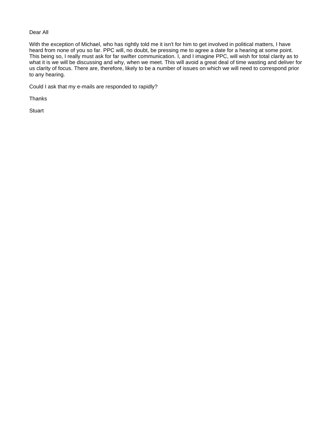#### Dear All

With the exception of Michael, who has rightly told me it isn't for him to get involved in political matters, I have heard from none of you so far. PPC will, no doubt, be pressing me to agree a date for a hearing at some point. This being so, I really must ask for far swifter communication. I, and I imagine PPC, will wish for total clarity as to what it is we will be discussing and why, when we meet. This will avoid a great deal of time wasting and deliver for us clarity of focus. There are, therefore, likely to be a number of issues on which we will need to correspond prior to any hearing.

Could I ask that my e-mails are responded to rapidly?

**Thanks**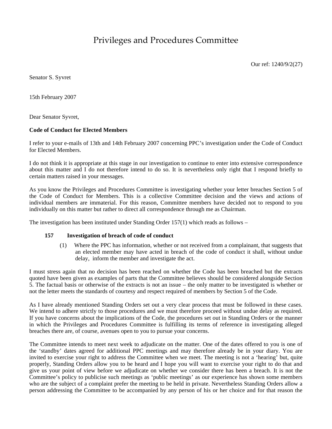Privileges and Procedures Committee

Our ref: 1240/9/2(27)

Senator S. Syvret

15th February 2007

Dear Senator Syvret,

#### **Code of Conduct for Elected Members**

I refer to your e-mails of 13th and 14th February 2007 concerning PPC's investigation under the Code of Conduct for Elected Members.

I do not think it is appropriate at this stage in our investigation to continue to enter into extensive correspondence about this matter and I do not therefore intend to do so. It is nevertheless only right that I respond briefly to certain matters raised in your messages.

As you know the Privileges and Procedures Committee is investigating whether your letter breaches Section 5 of the Code of Conduct for Members. This is a collective Committee decision and the views and actions of individual members are immaterial. For this reason, Committee members have decided not to respond to you individually on this matter but rather to direct all correspondence through me as Chairman.

The investigation has been instituted under Standing Order  $157(1)$  which reads as follows –

#### **157 Investigation of breach of code of conduct**

(1) Where the PPC has information, whether or not received from a complainant, that suggests that an elected member may have acted in breach of the code of conduct it shall, without undue delay, inform the member and investigate the act.

I must stress again that no decision has been reached on whether the Code has been breached but the extracts quoted have been given as examples of parts that the Committee believes should be considered alongside Section 5. The factual basis or otherwise of the extracts is not an issue – the only matter to be investigated is whether or not the letter meets the standards of courtesy and respect required of members by Section 5 of the Code.

As I have already mentioned Standing Orders set out a very clear process that must be followed in these cases. We intend to adhere strictly to those procedures and we must therefore proceed without undue delay as required. If you have concerns about the implications of the Code, the procedures set out in Standing Orders or the manner in which the Privileges and Procedures Committee is fulfilling its terms of reference in investigating alleged breaches there are, of course, avenues open to you to pursue your concerns.

The Committee intends to meet next week to adjudicate on the matter. One of the dates offered to you is one of the 'standby' dates agreed for additional PPC meetings and may therefore already be in your diary. You are invited to exercise your right to address the Committee when we meet. The meeting is not a 'hearing' but, quite properly, Standing Orders allow you to be heard and I hope you will want to exercise your right to do that and give us your point of view before we adjudicate on whether we consider there has been a breach. It is not the Committee's policy to publicise such meetings as 'public meetings' as our experience has shown some members who are the subject of a complaint prefer the meeting to be held in private. Nevertheless Standing Orders allow a person addressing the Committee to be accompanied by any person of his or her choice and for that reason the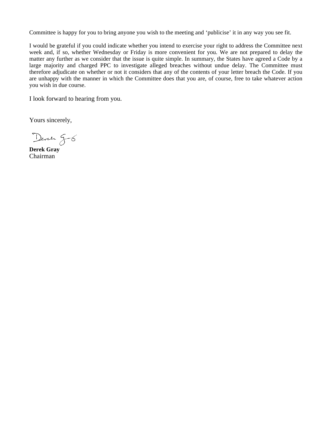Committee is happy for you to bring anyone you wish to the meeting and 'publicise' it in any way you see fit.

I would be grateful if you could indicate whether you intend to exercise your right to address the Committee next week and, if so, whether Wednesday or Friday is more convenient for you. We are not prepared to delay the matter any further as we consider that the issue is quite simple. In summary, the States have agreed a Code by a large majority and charged PPC to investigate alleged breaches without undue delay. The Committee must therefore adjudicate on whether or not it considers that any of the contents of your letter breach the Code. If you are unhappy with the manner in which the Committee does that you are, of course, free to take whatever action you wish in due course.

I look forward to hearing from you.

Yours sincerely,

Deren g-6

**Derek Gray** Chairman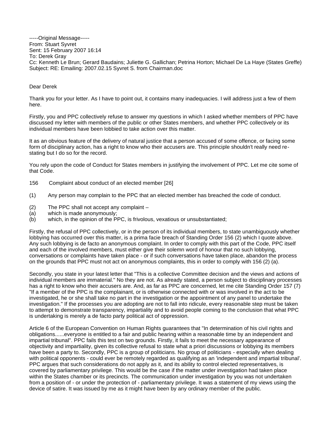#### -----Original Message----- From: Stuart Syvret Sent: 15 February 2007 16:14 To: Derek Gray Cc: Kenneth Le Brun; Gerard Baudains; Juliette G. Gallichan; Petrina Horton; Michael De La Haye (States Greffe) Subject: RE: Emailing: 2007.02.15 Syvret S. from Chairman.doc

#### Dear Derek

Thank you for your letter. As I have to point out, it contains many inadequacies. I will address just a few of them here.

Firstly, you and PPC collectively refuse to answer my questions in which I asked whether members of PPC have discussed my letter with members of the public or other States members, and whether PPC collectively or its individual members have been lobbied to take action over this matter.

It as an obvious feature of the delivery of natural justice that a person accused of some offence, or facing some form of disciplinary action, has a right to know who their accusers are. This principle shouldn't really need restating but I do so for the record.

You rely upon the code of Conduct for States members in justifying the involvement of PPC. Let me cite some of that Code.

- 156 Complaint about conduct of an elected member [26]
- (1) Any person may complain to the PPC that an elected member has breached the code of conduct.
- (2) The PPC shall not accept any complaint –
- (a) which is made anonymously;
- (b) which, in the opinion of the PPC, is frivolous, vexatious or unsubstantiated;

Firstly, the refusal of PPC collectively, or in the person of its individual members, to state unambiguously whether lobbying has occurred over this matter, is a prima facie breach of Standing Order 156 (2) which I quote above. Any such lobbying is de facto an anonymous complaint. In order to comply with this part of the Code, PPC itself and each of the involved members, must either give their solemn word of honour that no such lobbying, conversations or complaints have taken place - or if such conversations have taken place, abandon the process on the grounds that PPC must not act on anonymous complaints, this in order to comply with 156 (2) (a).

Secondly, you state in your latest letter that "This is a collective Committee decision and the views and actions of individual members are immaterial." No they are not. As already stated, a person subject to disciplinary processes has a right to know who their accusers are. And, as far as PPC are concerned, let me cite Standing Order 157 (7) "If a member of the PPC is the complainant, or is otherwise connected with or was involved in the act to be investigated, he or she shall take no part in the investigation or the appointment of any panel to undertake the investigation." If the processes you are adopting are not to fall into ridicule, every reasonable step must be taken to attempt to demonstrate transparency, impartiality and to avoid people coming to the conclusion that what PPC is undertaking is merely a de facto party political act of oppression.

Article 6 of the European Convention on Human Rights guarantees that "In determination of his civil rights and obligations......everyone is entitled to a fair and public hearing within a reasonable time by an independent and impartial tribunal". PPC fails this test on two grounds. Firstly, it fails to meet the necessary appearance of objectivity and impartiality, given its collective refusal to state what a priori discussions or lobbying its members have been a party to. Secondly, PPC is a group of politicians. No group of politicians - especially when dealing with political opponents - could ever be remotely regarded as qualifying as an 'independent and impartial tribunal'. PPC argues that such considerations do not apply as it, and its ability to control elected representatives, is covered by parliamentary privilege. This would be the case if the matter under investigation had taken place within the States chamber or its precincts. The communication under investigation by you was not undertaken from a position of - or under the protection of - parliamentary privilege. It was a statement of my views using the device of satire. It was issued by me as it might have been by any ordinary member of the public.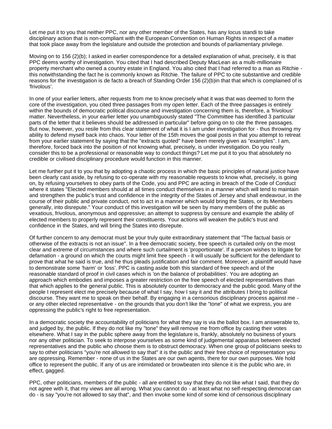Let me put it to you that neither PPC, nor any other member of the States, has any locus standi to take disciplinary action that is non-compliant with the European Convention on Human Rights in respect of a matter that took place away from the legislature and outside the protection and bounds of parliamentary privilege.

Moving on to 156 (2)(b); I asked in earlier correspondence for a detailed explanation of what, precisely, it is that PPC deems worthy of investigation. You cited that I had described Deputy MacLean as a multi-millionaire property merchant who owned a country estate in England. You also cited that I had referred to a man as Ritchie this notwithstanding the fact he is commonly known as Ritchie. The failure of PPC to cite substantive and credible reasons for the investigation is de facto a breach of Standing Order 156 (2)(b)in that that which is complained of is 'frivolous'.

In one of your earlier letters, after requests from me to know precisely what it was that was deemed to form the core of the investigation, you cited three passages from my open letter. Each of the three passages is entirely within the bounds of democratic political discourse and investigation concerning them is, therefore, a 'frivolous' matter. Nevertheless, in your earlier letter you unambiguously stated "The Committee has identified 3 particular parts of the letter that it believes should be addressed in particular" before going on to cite the three passages. But now, however, you resile from this clear statement of what it is I am under investigation for - thus throwing my ability to defend myself back into chaos. Your letter of the 15th moves the goal posts in that you attempt to retreat from your earlier statement by saying that the "extracts quoted" have been merely given as "examples". I am, therefore, forced back into the position of not knowing what, precisely, is under investigation. Do you really consider this to be a professional or reasonable way to conduct things? Let me put it to you that absolutely no credible or civilised disciplinary procedure would function in this manner.

Let me further put it to you that by adopting a chaotic process in which the basic principles of natural justice have been clearly cast aside, by refusing to co-operate with my reasonable requests to know what, precisely, is going on, by refusing yourselves to obey parts of the Code, you and PPC are acting in breach of the Code of Conduct where it states "Elected members should at all times conduct themselves in a manner which will tend to maintain and strengthen the public's trust and confidence in the integrity of the States of Jersey and shall endeavour, in the course of their public and private conduct, not to act in a manner which would bring the States, or its Members generally, into disrepute." Your conduct of this investigation will be seen by many members of the public as vexatious, frivolous, anonymous and oppressive; an attempt to suppress by censure and example the ability of elected members to properly represent their constituents. Your actions will weaken the public's trust and confidence in the States, and will bring the States into disrepute.

Of further concern to any democrat must be your truly quite extraordinary statement that "The factual basis or otherwise of the extracts is not an issue". In a free democratic society, free speech is curtailed only on the most clear and extreme of circumstances and where such curtailment is 'proportionate'. If a person wishes to litigate for defamation - a ground on which the courts might limit free speech - it will usually be sufficient for the defendant to prove that what he said is true, and he thus pleads justification and fair comment. Moreover, a plaintiff would have to demonstrate some 'harm' or 'loss'. PPC is casting aside both this standard of free speech and of the reasonable standard of proof in civil cases which is 'on the balance of probabilities'. You are adopting an approach which embodies and imposes a greater restriction on the free speech of elected representatives than that which applies to the general public. This is absolutely counter to democracy and the public good. Many of the people I represent elect me precisely because of what I say, how I say it and the attributes I bring to political discourse. They want me to speak on their behalf. By engaging in a censorious disciplinary process against me or any other elected representative - on the grounds that you don't like the "tone" of what we express, you are oppressing the public's right to free representation.

In a democratic society the accountability of politicians for what they say is via the ballot box. I am answerable to, and judged by, the public. If they do not like my "tone" they will remove me from office by casting their votes elsewhere. What I say in the public sphere away from the legislature is, frankly, absolutely no business of yours nor any other politician. To seek to interpose yourselves as some kind of judgemental apparatus between elected representatives and the public who choose them is to obstruct democracy. When one group of politicians seeks to say to other politicians "you're not allowed to say that" it is the public and their free choice of representation you are oppressing. Remember - none of us in the States are our own agents, there for our own purposes. We hold office to represent the public. If any of us are intimidated or browbeaten into silence it is the public who are, in effect, gagged.

PPC, other politicians, members of the public - all are entitled to say that they do not like what I said, that they do not agree with it, that my views are all wrong. What you cannot do - at least what no self-respecting democrat can do - is say "you're not allowed to say that", and then invoke some kind of some kind of censorious disciplinary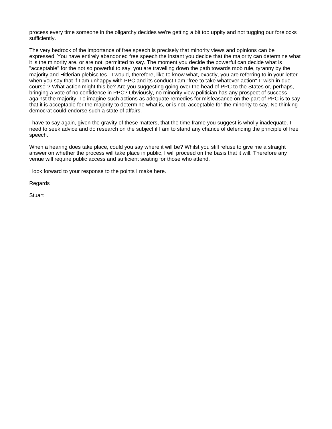process every time someone in the oligarchy decides we're getting a bit too uppity and not tugging our forelocks sufficiently.

The very bedrock of the importance of free speech is precisely that minority views and opinions can be expressed. You have entirely abandoned free speech the instant you decide that the majority can determine what it is the minority are, or are not, permitted to say. The moment you decide the powerful can decide what is "acceptable" for the not so powerful to say, you are travelling down the path towards mob rule, tyranny by the majority and Hitlerian plebiscites. I would, therefore, like to know what, exactly, you are referring to in your letter when you say that if I am unhappy with PPC and its conduct I am "free to take whatever action" I "wish in due course"? What action might this be? Are you suggesting going over the head of PPC to the States or, perhaps, bringing a vote of no confidence in PPC? Obviously, no minority view politician has any prospect of success against the majority. To imagine such actions as adequate remedies for misfeasance on the part of PPC is to say that it is acceptable for the majority to determine what is, or is not, acceptable for the minority to say. No thinking democrat could endorse such a state of affairs.

I have to say again, given the gravity of these matters, that the time frame you suggest is wholly inadequate. I need to seek advice and do research on the subject if I am to stand any chance of defending the principle of free speech.

When a hearing does take place, could you say where it will be? Whilst you still refuse to give me a straight answer on whether the process will take place in public, I will proceed on the basis that it will. Therefore any venue will require public access and sufficient seating for those who attend.

I look forward to your response to the points I make here.

Regards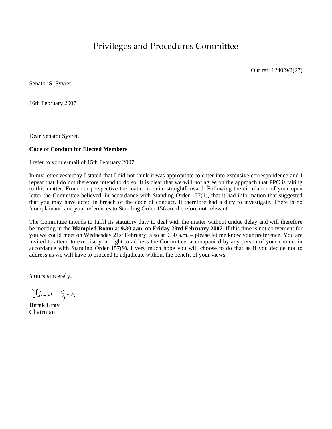Privileges and Procedures Committee

Our ref: 1240/9/2(27)

Senator S. Syvret

16th February 2007

Dear Senator Syvret,

### **Code of Conduct for Elected Members**

I refer to your e-mail of 15th February 2007.

In my letter yesterday I stated that I did not think it was appropriate to enter into extensive correspondence and I repeat that I do not therefore intend to do so. It is clear that we will not agree on the approach that PPC is taking to this matter. From our perspective the matter is quite straightforward. Following the circulation of your open letter the Committee believed, in accordance with Standing Order 157(1), that it had information that suggested that you may have acted in breach of the code of conduct. It therefore had a duty to investigate. There is no 'complainant' and your references to Standing Order 156 are therefore not relevant.

The Committee intends to fulfil its statutory duty to deal with the matter without undue delay and will therefore be meeting in the **Blampied Room** at **9.30 a.m**. on **Friday 23rd February 2007**. If this time is not convenient for you we could meet on Wednesday 21st February, also at 9.30 a.m. – please let me know your preference. You are invited to attend to exercise your right to address the Committee, accompanied by any person of your choice, in accordance with Standing Order 157(9). I very much hope you will choose to do that as if you decide not to address us we will have to proceed to adjudicate without the benefit of your views.

Yours sincerely,

Deren g-6

**Derek Gray** Chairman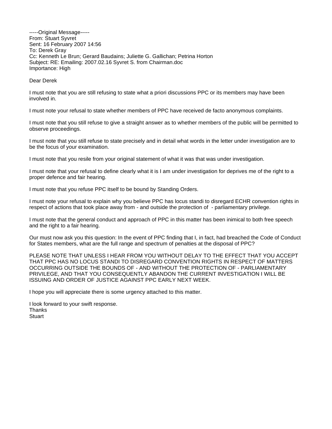-----Original Message----- From: Stuart Syvret Sent: 16 February 2007 14:56 To: Derek Gray Cc: Kenneth Le Brun; Gerard Baudains; Juliette G. Gallichan; Petrina Horton Subject: RE: Emailing: 2007.02.16 Syvret S. from Chairman.doc Importance: High

Dear Derek

I must note that you are still refusing to state what a priori discussions PPC or its members may have been involved in.

I must note your refusal to state whether members of PPC have received de facto anonymous complaints.

I must note that you still refuse to give a straight answer as to whether members of the public will be permitted to observe proceedings.

I must note that you still refuse to state precisely and in detail what words in the letter under investigation are to be the focus of your examination.

I must note that you resile from your original statement of what it was that was under investigation.

I must note that your refusal to define clearly what it is I am under investigation for deprives me of the right to a proper defence and fair hearing.

I must note that you refuse PPC itself to be bound by Standing Orders.

I must note your refusal to explain why you believe PPC has locus standi to disregard ECHR convention rights in respect of actions that took place away from - and outside the protection of - parliamentary privilege.

I must note that the general conduct and approach of PPC in this matter has been inimical to both free speech and the right to a fair hearing.

Our must now ask you this question: In the event of PPC finding that I, in fact, had breached the Code of Conduct for States members, what are the full range and spectrum of penalties at the disposal of PPC?

PLEASE NOTE THAT UNLESS I HEAR FROM YOU WITHOUT DELAY TO THE EFFECT THAT YOU ACCEPT THAT PPC HAS NO LOCUS STANDI TO DISREGARD CONVENTION RIGHTS IN RESPECT OF MATTERS OCCURRING OUTSIDE THE BOUNDS OF - AND WITHOUT THE PROTECTION OF - PARLIAMENTARY PRIVILEGE, AND THAT YOU CONSEQUENTLY ABANDON THE CURRENT INVESTIGATION I WILL BE ISSUING AND ORDER OF JUSTICE AGAINST PPC EARLY NEXT WEEK.

I hope you will appreciate there is some urgency attached to this matter.

I look forward to your swift response. **Thanks Stuart**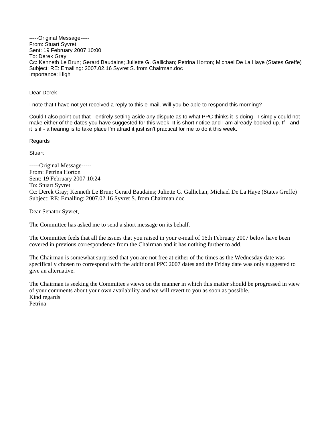-----Original Message----- From: Stuart Syvret Sent: 19 February 2007 10:00 To: Derek Gray Cc: Kenneth Le Brun; Gerard Baudains; Juliette G. Gallichan; Petrina Horton; Michael De La Haye (States Greffe) Subject: RE: Emailing: 2007.02.16 Syvret S. from Chairman.doc Importance: High

Dear Derek

I note that I have not yet received a reply to this e-mail. Will you be able to respond this morning?

Could I also point out that - entirely setting aside any dispute as to what PPC thinks it is doing - I simply could not make either of the dates you have suggested for this week. It is short notice and I am already booked up. If - and it is if - a hearing is to take place I'm afraid it just isn't practical for me to do it this week.

Regards

**Stuart** 

-----Original Message----- From: Petrina Horton Sent: 19 February 2007 10:24 To: Stuart Syvret Cc: Derek Gray; Kenneth Le Brun; Gerard Baudains; Juliette G. Gallichan; Michael De La Haye (States Greffe) Subject: RE: Emailing: 2007.02.16 Syvret S. from Chairman.doc

Dear Senator Syvret,

The Committee has asked me to send a short message on its behalf.

The Committee feels that all the issues that you raised in your e-mail of 16th February 2007 below have been covered in previous correspondence from the Chairman and it has nothing further to add.

The Chairman is somewhat surprised that you are not free at either of the times as the Wednesday date was specifically chosen to correspond with the additional PPC 2007 dates and the Friday date was only suggested to give an alternative.

The Chairman is seeking the Committee's views on the manner in which this matter should be progressed in view of your comments about your own availability and we will revert to you as soon as possible. Kind regards Petrina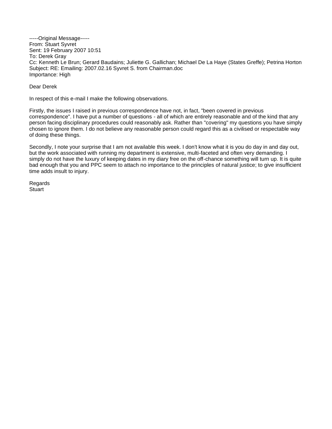-----Original Message----- From: Stuart Syvret Sent: 19 February 2007 10:51 To: Derek Gray Cc: Kenneth Le Brun; Gerard Baudains; Juliette G. Gallichan; Michael De La Haye (States Greffe); Petrina Horton Subject: RE: Emailing: 2007.02.16 Syvret S. from Chairman.doc Importance: High

Dear Derek

In respect of this e-mail I make the following observations.

Firstly, the issues I raised in previous correspondence have not, in fact, "been covered in previous correspondence". I have put a number of questions - all of which are entirely reasonable and of the kind that any person facing disciplinary procedures could reasonably ask. Rather than "covering" my questions you have simply chosen to ignore them. I do not believe any reasonable person could regard this as a civilised or respectable way of doing these things.

Secondly, I note your surprise that I am not available this week. I don't know what it is you do day in and day out, but the work associated with running my department is extensive, multi-faceted and often very demanding. I simply do not have the luxury of keeping dates in my diary free on the off-chance something will turn up. It is quite bad enough that you and PPC seem to attach no importance to the principles of natural justice; to give insufficient time adds insult to injury.

Regards **Stuart**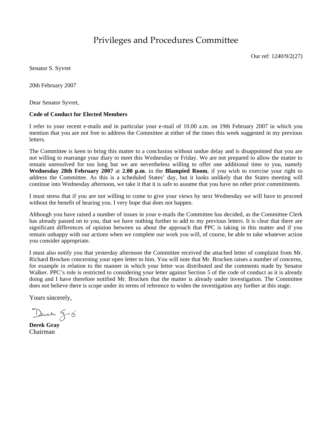# Privileges and Procedures Committee

Our ref: 1240/9/2(27)

Senator S. Syvret

20th February 2007

Dear Senator Syvret,

#### **Code of Conduct for Elected Members**

I refer to your recent e-mails and in particular your e-mail of 10.00 a.m. on 19th February 2007 in which you mention that you are not free to address the Committee at either of the times this week suggested in my previous letters.

The Committee is keen to bring this matter to a conclusion without undue delay and is disappointed that you are not willing to rearrange your diary to meet this Wednesday or Friday. We are not prepared to allow the matter to remain unresolved for too long but we are nevertheless willing to offer one additional time to you, namely **Wednesday 28th February 2007** at **2.00 p.m**. in the **Blampied Room**, if you wish to exercise your right to address the Committee. As this is a scheduled States' day, but it looks unlikely that the States meeting will continue into Wednesday afternoon, we take it that it is safe to assume that you have no other prior commitments.

I must stress that if you are not willing to come to give your views by next Wednesday we will have to proceed without the benefit of hearing you. I very hope that does not happen.

Although you have raised a number of issues in your e-mails the Committee has decided, as the Committee Clerk has already passed on to you, that we have nothing further to add to my previous letters. It is clear that there are significant differences of opinion between us about the approach that PPC is taking in this matter and if you remain unhappy with our actions when we complete our work you will, of course, be able to take whatever action you consider appropriate.

I must also notify you that yesterday afternoon the Committee received the attached letter of complaint from Mr. Richard Brocken concerning your open letter to him. You will note that Mr. Brocken raises a number of concerns, for example in relation to the manner in which your letter was distributed and the comments made by Senator Walker. PPC's role is restricted to considering your letter against Section 5 of the code of conduct as it is already doing and I have therefore notified Mr. Brocken that the matter is already under investigation. The Committee does not believe there is scope under its terms of reference to widen the investigation any further at this stage.

Yours sincerely,

Deren g-6

**Derek Gray** Chairman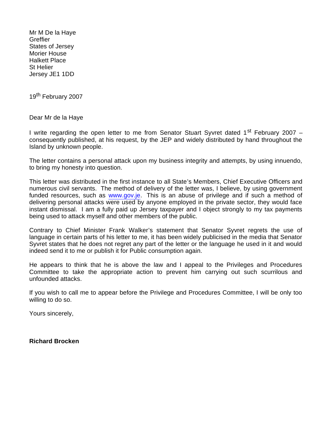Mr M De la Haye **Greffier** States of Jersey Morier House Halkett Place St Helier Jersey JE1 1DD

19<sup>th</sup> February 2007

Dear Mr de la Haye

I write regarding the open letter to me from Senator Stuart Syvret dated 1<sup>st</sup> February 2007 – consequently published, at his request, by the JEP and widely distributed by hand throughout the Island by unknown people.

The letter contains a personal attack upon my business integrity and attempts, by using innuendo, to bring my honesty into question.

This letter was distributed in the first instance to all State's Members, Chief Executive Officers and numerous civil servants. The method of delivery of the letter was, I believe, by using government funded resources, such as <www.gov.je>. This is an abuse of privilege and if such a method of delivering personal attacks were used by anyone employed in the private sector, they would face instant dismissal. I am a fully paid up Jersey taxpayer and I object strongly to my tax payments being used to attack myself and other members of the public.

Contrary to Chief Minister Frank Walker's statement that Senator Syvret regrets the use of language in certain parts of his letter to me, it has been widely publicised in the media that Senator Syvret states that he does not regret any part of the letter or the language he used in it and would indeed send it to me or publish it for Public consumption again.

He appears to think that he is above the law and I appeal to the Privileges and Procedures Committee to take the appropriate action to prevent him carrying out such scurrilous and unfounded attacks.

If you wish to call me to appear before the Privilege and Procedures Committee, I will be only too willing to do so.

Yours sincerely,

**Richard Brocken**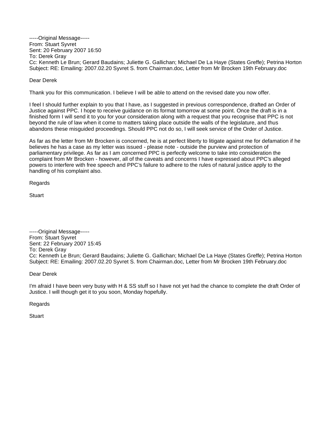-----Original Message----- From: Stuart Syvret Sent: 20 February 2007 16:50 To: Derek Gray Cc: Kenneth Le Brun; Gerard Baudains; Juliette G. Gallichan; Michael De La Haye (States Greffe); Petrina Horton Subject: RE: Emailing: 2007.02.20 Syvret S. from Chairman.doc, Letter from Mr Brocken 19th February.doc

Dear Derek

Thank you for this communication. I believe I will be able to attend on the revised date you now offer.

I feel I should further explain to you that I have, as I suggested in previous correspondence, drafted an Order of Justice against PPC. I hope to receive guidance on its format tomorrow at some point. Once the draft is in a finished form I will send it to you for your consideration along with a request that you recognise that PPC is not beyond the rule of law when it come to matters taking place outside the walls of the legislature, and thus abandons these misguided proceedings. Should PPC not do so, I will seek service of the Order of Justice.

As far as the letter from Mr Brocken is concerned, he is at perfect liberty to litigate against me for defamation if he believes he has a case as my letter was issued - please note - outside the purview and protection of parliamentary privilege. As far as I am concerned PPC is perfectly welcome to take into consideration the complaint from Mr Brocken - however, all of the caveats and concerns I have expressed about PPC's alleged powers to interfere with free speech and PPC's failure to adhere to the rules of natural justice apply to the handling of his complaint also.

Regards

**Stuart** 

-----Original Message----- From: Stuart Syvret Sent: 22 February 2007 15:45 To: Derek Gray Cc: Kenneth Le Brun; Gerard Baudains; Juliette G. Gallichan; Michael De La Haye (States Greffe); Petrina Horton Subject: RE: Emailing: 2007.02.20 Syvret S. from Chairman.doc, Letter from Mr Brocken 19th February.doc

Dear Derek

I'm afraid I have been very busy with H & SS stuff so I have not yet had the chance to complete the draft Order of Justice. I will though get it to you soon, Monday hopefully.

Regards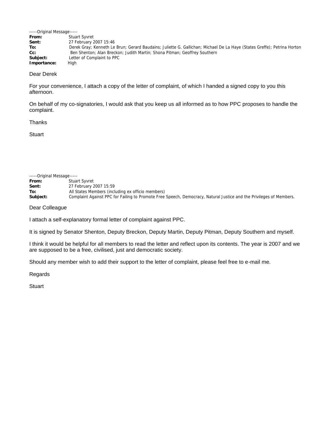| -----Original Message----- |                                                                                                                         |
|----------------------------|-------------------------------------------------------------------------------------------------------------------------|
| From:                      | <b>Stuart Syvret</b>                                                                                                    |
| Sent:                      | 27 February 2007 15:46                                                                                                  |
| To:                        | Derek Gray; Kenneth Le Brun; Gerard Baudains; Juliette G. Gallichan; Michael De La Haye (States Greffe); Petrina Horton |
| $Cc$ :                     | Ben Shenton; Alan Breckon; Judith Martin; Shona Pitman; Geoffrey Southern                                               |
| Subject:                   | Letter of Complaint to PPC                                                                                              |
| Importance:                | High                                                                                                                    |

#### Dear Derek

For your convenience, I attach a copy of the letter of complaint, of which I handed a signed copy to you this afternoon.

On behalf of my co-signatories, I would ask that you keep us all informed as to how PPC proposes to handle the complaint.

# Thanks

**Stuart** 

| -----Original Message----- |                                                                                                                     |
|----------------------------|---------------------------------------------------------------------------------------------------------------------|
| From:                      | <b>Stuart Syvret</b>                                                                                                |
| Sent:                      | 27 February 2007 15:59                                                                                              |
| To:                        | All States Members (including ex officio members)                                                                   |
| Subject:                   | Complaint Against PPC for Failing to Promote Free Speech, Democracy, Natural Justice and the Privileges of Members. |

Dear Colleague

I attach a self-explanatory formal letter of complaint against PPC.

It is signed by Senator Shenton, Deputy Breckon, Deputy Martin, Deputy Pitman, Deputy Southern and myself.

I think it would be helpful for all members to read the letter and reflect upon its contents. The year is 2007 and we are supposed to be a free, civilised, just and democratic society.

Should any member wish to add their support to the letter of complaint, please feel free to e-mail me.

Regards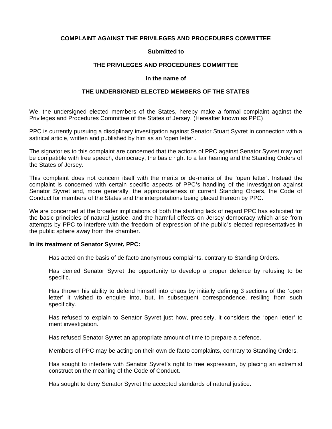# **COMPLAINT AGAINST THE PRIVILEGES AND PROCEDURES COMMITTEE**

# **Submitted to**

# **THE PRIVILEGES AND PROCEDURES COMMITTEE**

#### **In the name of**

# **THE UNDERSIGNED ELECTED MEMBERS OF THE STATES**

We, the undersigned elected members of the States, hereby make a formal complaint against the Privileges and Procedures Committee of the States of Jersey. (Hereafter known as PPC)

PPC is currently pursuing a disciplinary investigation against Senator Stuart Syvret in connection with a satirical article, written and published by him as an 'open letter'.

The signatories to this complaint are concerned that the actions of PPC against Senator Syvret may not be compatible with free speech, democracy, the basic right to a fair hearing and the Standing Orders of the States of Jersey.

This complaint does not concern itself with the merits or de-merits of the 'open letter'. Instead the complaint is concerned with certain specific aspects of PPC's handling of the investigation against Senator Syvret and, more generally, the appropriateness of current Standing Orders, the Code of Conduct for members of the States and the interpretations being placed thereon by PPC.

We are concerned at the broader implications of both the startling lack of regard PPC has exhibited for the basic principles of natural justice, and the harmful effects on Jersey democracy which arise from attempts by PPC to interfere with the freedom of expression of the public's elected representatives in the public sphere away from the chamber.

#### **In its treatment of Senator Syvret, PPC:**

Has acted on the basis of de facto anonymous complaints, contrary to Standing Orders.

Has denied Senator Syvret the opportunity to develop a proper defence by refusing to be specific.

Has thrown his ability to defend himself into chaos by initially defining 3 sections of the 'open letter' it wished to enquire into, but, in subsequent correspondence, resiling from such specificity.

Has refused to explain to Senator Syvret just how, precisely, it considers the 'open letter' to merit investigation.

Has refused Senator Syvret an appropriate amount of time to prepare a defence.

Members of PPC may be acting on their own de facto complaints, contrary to Standing Orders.

Has sought to interfere with Senator Syvret's right to free expression, by placing an extremist construct on the meaning of the Code of Conduct.

Has sought to deny Senator Syvret the accepted standards of natural justice.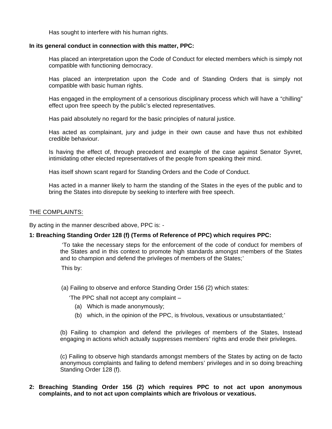Has sought to interfere with his human rights.

### **In its general conduct in connection with this matter, PPC:**

Has placed an interpretation upon the Code of Conduct for elected members which is simply not compatible with functioning democracy.

Has placed an interpretation upon the Code and of Standing Orders that is simply not compatible with basic human rights.

Has engaged in the employment of a censorious disciplinary process which will have a "chilling" effect upon free speech by the public's elected representatives.

Has paid absolutely no regard for the basic principles of natural justice.

Has acted as complainant, jury and judge in their own cause and have thus not exhibited credible behaviour.

Is having the effect of, through precedent and example of the case against Senator Syvret, intimidating other elected representatives of the people from speaking their mind.

Has itself shown scant regard for Standing Orders and the Code of Conduct.

Has acted in a manner likely to harm the standing of the States in the eyes of the public and to bring the States into disrepute by seeking to interfere with free speech.

### THE COMPLAINTS:

By acting in the manner described above, PPC is: -

# **1: Breaching Standing Order 128 (f) (Terms of Reference of PPC) which requires PPC:**

 'To take the necessary steps for the enforcement of the code of conduct for members of the States and in this context to promote high standards amongst members of the States and to champion and defend the privileges of members of the States;'

This by:

(a) Failing to observe and enforce Standing Order 156 (2) which states:

'The PPC shall not accept any complaint –

- (a) Which is made anonymously;
- (b) which, in the opinion of the PPC, is frivolous, vexatious or unsubstantiated;'

(b) Failing to champion and defend the privileges of members of the States, Instead engaging in actions which actually suppresses members' rights and erode their privileges.

(c) Failing to observe high standards amongst members of the States by acting on de facto anonymous complaints and failing to defend members' privileges and in so doing breaching Standing Order 128 (f).

# **2: Breaching Standing Order 156 (2) which requires PPC to not act upon anonymous complaints, and to not act upon complaints which are frivolous or vexatious.**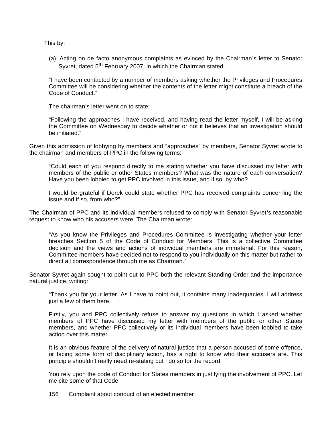This by:

(a) Acting on de facto anonymous complaints as evinced by the Chairman's letter to Senator Syvret, dated 5<sup>th</sup> February 2007, in which the Chairman stated:

"I have been contacted by a number of members asking whether the Privileges and Procedures Committee will be considering whether the contents of the letter might constitute a breach of the Code of Conduct."

The chairman's letter went on to state:

"Following the approaches I have received, and having read the letter myself, I will be asking the Committee on Wednesday to decide whether or not it believes that an investigation should be initiated."

Given this admission of lobbying by members and "approaches" by members, Senator Syvret wrote to the chairman and members of PPC in the following terms:

"Could each of you respond directly to me stating whether you have discussed my letter with members of the public or other States members? What was the nature of each conversation? Have you been lobbied to get PPC involved in this issue, and if so, by who?

I would be grateful if Derek could state whether PPC has received complaints concerning the issue and if so, from who?"

The Chairman of PPC and its individual members refused to comply with Senator Syvret's reasonable request to know who his accusers were. The Chairman wrote:

"As you know the Privileges and Procedures Committee is investigating whether your letter breaches Section 5 of the Code of Conduct for Members. This is a collective Committee decision and the views and actions of individual members are immaterial. For this reason, Committee members have decided not to respond to you individually on this matter but rather to direct all correspondence through me as Chairman."

Senator Syvret again sought to point out to PPC both the relevant Standing Order and the importance natural justice, writing:

"Thank you for your letter. As I have to point out, it contains many inadequacies. I will address just a few of them here.

Firstly, you and PPC collectively refuse to answer my questions in which I asked whether members of PPC have discussed my letter with members of the public or other States members, and whether PPC collectively or its individual members have been lobbied to take action over this matter.

It is an obvious feature of the delivery of natural justice that a person accused of some offence, or facing some form of disciplinary action, has a right to know who their accusers are. This principle shouldn't really need re-stating but I do so for the record.

You rely upon the code of Conduct for States members in justifying the involvement of PPC. Let me cite some of that Code.

156 Complaint about conduct of an elected member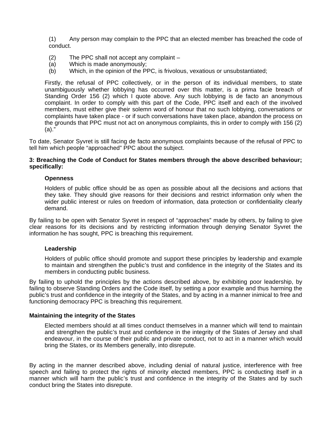(1) Any person may complain to the PPC that an elected member has breached the code of conduct.

- $(2)$  The PPC shall not accept any complaint  $-$
- (a) Which is made anonymously;
- (b) Which, in the opinion of the PPC, is frivolous, vexatious or unsubstantiated;

Firstly, the refusal of PPC collectively, or in the person of its individual members, to state unambiguously whether lobbying has occurred over this matter, is a prima facie breach of Standing Order 156 (2) which I quote above. Any such lobbying is de facto an anonymous complaint. In order to comply with this part of the Code, PPC itself and each of the involved members, must either give their solemn word of honour that no such lobbying, conversations or complaints have taken place - or if such conversations have taken place, abandon the process on the grounds that PPC must not act on anonymous complaints, this in order to comply with 156 (2) (a)."

To date, Senator Syvret is still facing de facto anonymous complaints because of the refusal of PPC to tell him which people "approached" PPC about the subject.

# **3: Breaching the Code of Conduct for States members through the above described behaviour; specifically:**

#### **Openness**

Holders of public office should be as open as possible about all the decisions and actions that they take. They should give reasons for their decisions and restrict information only when the wider public interest or rules on freedom of information, data protection or confidentiality clearly demand.

By failing to be open with Senator Syvret in respect of "approaches" made by others, by failing to give clear reasons for its decisions and by restricting information through denying Senator Syvret the information he has sought, PPC is breaching this requirement.

# **Leadership**

Holders of public office should promote and support these principles by leadership and example to maintain and strengthen the public's trust and confidence in the integrity of the States and its members in conducting public business.

By failing to uphold the principles by the actions described above, by exhibiting poor leadership, by failing to observe Standing Orders and the Code itself, by setting a poor example and thus harming the public's trust and confidence in the integrity of the States, and by acting in a manner inimical to free and functioning democracy PPC is breaching this requirement.

# **Maintaining the integrity of the States**

Elected members should at all times conduct themselves in a manner which will tend to maintain and strengthen the public's trust and confidence in the integrity of the States of Jersey and shall endeavour, in the course of their public and private conduct, not to act in a manner which would bring the States, or its Members generally, into disrepute.

By acting in the manner described above, including denial of natural justice, interference with free speech and failing to protect the rights of minority elected members, PPC is conducting itself in a manner which will harm the public's trust and confidence in the integrity of the States and by such conduct bring the States into disrepute.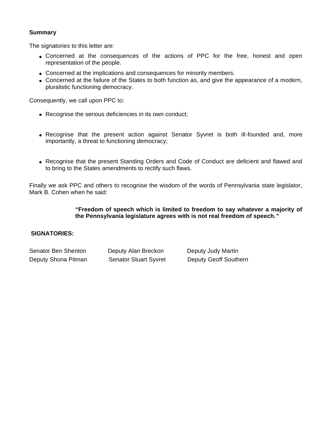# **Summary**

The signatories to this letter are:

- Concerned at the consequences of the actions of PPC for the free, honest and open representation of the people.
- Concerned at the implications and consequences for minority members.
- Concerned at the failure of the States to both function as, and give the appearance of a modern, pluralistic functioning democracy.

Consequently, we call upon PPC to:

- Recognise the serious deficiencies in its own conduct;
- Recognise that the present action against Senator Syvret is both ill-founded and, more importantly, a threat to functioning democracy;
- Recognise that the present Standing Orders and Code of Conduct are deficient and flawed and to bring to the States amendments to rectify such flaws.

Finally we ask PPC and others to recognise the wisdom of the words of Pennsylvania state legislator, Mark B. Cohen when he said:

# **"Freedom of speech which is limited to freedom to say whatever a majority of the Pennsylvania legislature agrees with is not real freedom of speech."**

# **SIGNATORIES:**

| Senator Ben Shenton | Deputy Alan Breckon          | Deputy Judy Martin           |
|---------------------|------------------------------|------------------------------|
| Deputy Shona Pitman | <b>Senator Stuart Syvret</b> | <b>Deputy Geoff Southern</b> |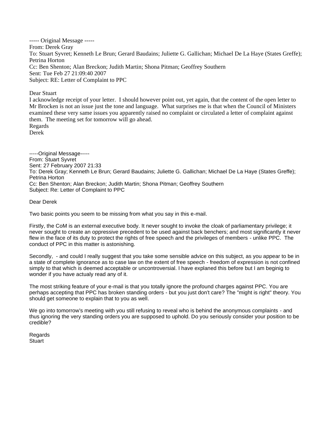----- Original Message ----- From: Derek Gray To: Stuart Syvret; Kenneth Le Brun; Gerard Baudains; Juliette G. Gallichan; Michael De La Haye (States Greffe); Petrina Horton Cc: Ben Shenton; Alan Breckon; Judith Martin; Shona Pitman; Geoffrey Southern Sent: Tue Feb 27 21:09:40 2007 Subject: RE: Letter of Complaint to PPC

#### Dear Stuart

I acknowledge receipt of your letter. I should however point out, yet again, that the content of the open letter to Mr Brocken is not an issue just the tone and language. What surprises me is that when the Council of Ministers examined these very same issues you apparently raised no complaint or circulated a letter of complaint against them. The meeting set for tomorrow will go ahead. Regards Derek

-----Original Message----- From: Stuart Syvret Sent: 27 February 2007 21:33 To: Derek Gray; Kenneth Le Brun; Gerard Baudains; Juliette G. Gallichan; Michael De La Haye (States Greffe); Petrina Horton Cc: Ben Shenton; Alan Breckon; Judith Martin; Shona Pitman; Geoffrey Southern Subject: Re: Letter of Complaint to PPC

#### Dear Derek

Two basic points you seem to be missing from what you say in this e-mail.

Firstly, the CoM is an external executive body. It never sought to invoke the cloak of parliamentary privilege; it never sought to create an oppressive precedent to be used against back benchers; and most significantly it never flew in the face of its duty to protect the rights of free speech and the privileges of members - unlike PPC. The conduct of PPC in this matter is astonishing.

Secondly, - and could I really suggest that you take some sensible advice on this subject, as you appear to be in a state of complete ignorance as to case law on the extent of free speech - freedom of expression is not confined simply to that which is deemed acceptable or uncontroversial. I have explaned this before but I am beginig to wonder if you have actualy read any of it.

The most striking feature of your e-mail is that you totally ignore the profound charges against PPC. You are perhaps accepting that PPC has broken standing orders - but you just don't care? The "might is right" theory. You should get someone to explain that to you as well.

We go into tomorrow's meeting with you still refusing to reveal who is behind the anonymous complaints - and thus ignoring the very standing orders you are supposed to uphold. Do you seriously consider your position to be credible?

Regards **Stuart**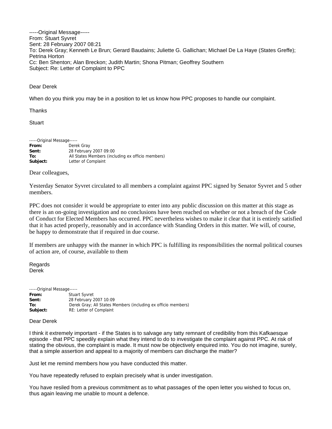-----Original Message----- From: Stuart Syvret Sent: 28 February 2007 08:21 To: Derek Gray; Kenneth Le Brun; Gerard Baudains; Juliette G. Gallichan; Michael De La Haye (States Greffe); Petrina Horton Cc: Ben Shenton; Alan Breckon; Judith Martin; Shona Pitman; Geoffrey Southern Subject: Re: Letter of Complaint to PPC

#### Dear Derek

When do you think you may be in a position to let us know how PPC proposes to handle our complaint.

**Thanks** 

**Stuart** 

| -----Original Message----- |                                                   |
|----------------------------|---------------------------------------------------|
| From:                      | Derek Gray                                        |
| Sent:                      | 28 February 2007 09:00                            |
| To:                        | All States Members (including ex officio members) |
| Subject:                   | Letter of Complaint                               |

#### Dear colleagues,

Yesterday Senator Syvret circulated to all members a complaint against PPC signed by Senator Syvret and 5 other members.

PPC does not consider it would be appropriate to enter into any public discussion on this matter at this stage as there is an on-going investigation and no conclusions have been reached on whether or not a breach of the Code of Conduct for Elected Members has occurred. PPC nevertheless wishes to make it clear that it is entirely satisfied that it has acted properly, reasonably and in accordance with Standing Orders in this matter. We will, of course, be happy to demonstrate that if required in due course.

If members are unhappy with the manner in which PPC is fulfilling its responsibilities the normal political courses of action are, of course, available to them

Regards Derek

| -----Original Message----- |                                                               |
|----------------------------|---------------------------------------------------------------|
| From:                      | <b>Stuart Syvret</b>                                          |
| Sent:                      | 28 February 2007 10:09                                        |
| To:                        | Derek Gray: All States Members (including ex officio members) |
| Subject:                   | RE: Letter of Complaint                                       |

#### Dear Derek

I think it extremely important - if the States is to salvage any tatty remnant of credibility from this Kafkaesque episode - that PPC speedily explain what they intend to do to investigate the complaint against PPC. At risk of stating the obvious, the complaint is made. It must now be objectively enquired into. You do not imagine, surely, that a simple assertion and appeal to a majority of members can discharge the matter?

Just let me remind members how you have conducted this matter.

You have repeatedly refused to explain precisely what is under investigation.

You have resiled from a previous commitment as to what passages of the open letter you wished to focus on, thus again leaving me unable to mount a defence.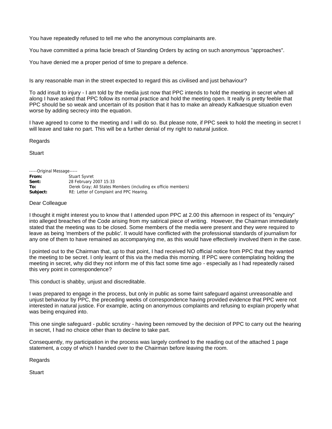You have repeatedly refused to tell me who the anonymous complainants are.

You have committed a prima facie breach of Standing Orders by acting on such anonymous "approaches".

You have denied me a proper period of time to prepare a defence.

Is any reasonable man in the street expected to regard this as civilised and just behaviour?

To add insult to injury - I am told by the media just now that PPC intends to hold the meeting in secret when all along I have asked that PPC follow its normal practice and hold the meeting open. It really is pretty feeble that PPC should be so weak and uncertain of its position that it has to make an already Kafkaesque situation even worse by adding secrecy into the equation.

I have agreed to come to the meeting and I will do so. But please note, if PPC seek to hold the meeting in secret I will leave and take no part. This will be a further denial of my right to natural justice.

Regards

**Stuart** 

-----Original Message-----

| From:    | <b>Stuart Syvret</b>                                          |
|----------|---------------------------------------------------------------|
| Sent:    | 28 February 2007 15:33                                        |
| To:      | Derek Gray; All States Members (including ex officio members) |
| Subject: | RE: Letter of Complaint and PPC Hearing.                      |

#### Dear Colleague

I thought it might interest you to know that I attended upon PPC at 2.00 this afternoon in respect of its "enquiry" into alleged breaches of the Code arising from my satirical piece of writing. However, the Chairman immediately stated that the meeting was to be closed. Some members of the media were present and they were required to leave as being 'members of the public'. It would have conflicted with the professional standards of journalism for any one of them to have remained as accompanying me, as this would have effectively involved them in the case.

I pointed out to the Chairman that, up to that point, I had received NO official notice from PPC that they wanted the meeting to be secret. I only learnt of this via the media this morning. If PPC were contemplating holding the meeting in secret, why did they not inform me of this fact some time ago - especially as I had repeatedly raised this very point in correspondence?

This conduct is shabby, unjust and discreditable.

I was prepared to engage in the process, but only in public as some faint safeguard against unreasonable and unjust behaviour by PPC, the preceding weeks of correspondence having provided evidence that PPC were not interested in natural justice. For example, acting on anonymous complaints and refusing to explain properly what was being enquired into.

This one single safeguard - public scrutiny - having been removed by the decision of PPC to carry out the hearing in secret, I had no choice other than to decline to take part.

Consequently, my participation in the process was largely confined to the reading out of the attached 1 page statement, a copy of which I handed over to the Chairman before leaving the room.

Regards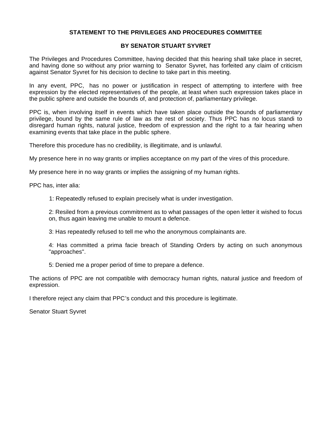# **STATEMENT TO THE PRIVILEGES AND PROCEDURES COMMITTEE**

# **BY SENATOR STUART SYVRET**

The Privileges and Procedures Committee, having decided that this hearing shall take place in secret, and having done so without any prior warning to Senator Syvret, has forfeited any claim of criticism against Senator Syvret for his decision to decline to take part in this meeting.

In any event, PPC, has no power or justification in respect of attempting to interfere with free expression by the elected representatives of the people, at least when such expression takes place in the public sphere and outside the bounds of, and protection of, parliamentary privilege.

PPC is, when involving itself in events which have taken place outside the bounds of parliamentary privilege, bound by the same rule of law as the rest of society. Thus PPC has no locus standi to disregard human rights, natural justice, freedom of expression and the right to a fair hearing when examining events that take place in the public sphere.

Therefore this procedure has no credibility, is illegitimate, and is unlawful.

My presence here in no way grants or implies acceptance on my part of the vires of this procedure.

My presence here in no way grants or implies the assigning of my human rights.

PPC has, inter alia:

1: Repeatedly refused to explain precisely what is under investigation.

2: Resiled from a previous commitment as to what passages of the open letter it wished to focus on, thus again leaving me unable to mount a defence.

3: Has repeatedly refused to tell me who the anonymous complainants are.

4: Has committed a prima facie breach of Standing Orders by acting on such anonymous "approaches".

5: Denied me a proper period of time to prepare a defence.

The actions of PPC are not compatible with democracy human rights, natural justice and freedom of expression.

I therefore reject any claim that PPC's conduct and this procedure is legitimate.

Senator Stuart Syvret